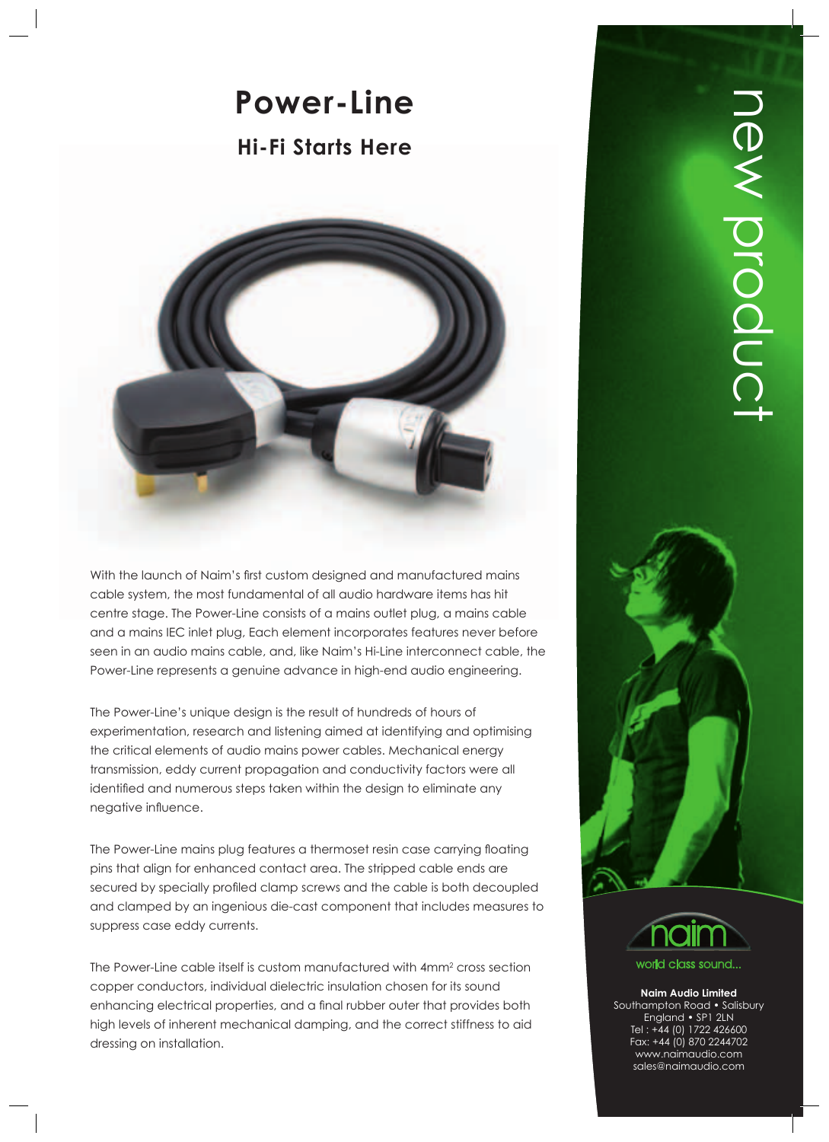## **Power-Line**

## **Hi-Fi Starts Here**



With the launch of Naim's first custom designed and manufactured mains cable system, the most fundamental of all audio hardware items has hit centre stage. The Power-Line consists of a mains outlet plug, a mains cable and a mains IEC inlet plug, Each element incorporates features never before seen in an audio mains cable, and, like Naim's Hi-Line interconnect cable, the Power-Line represents a genuine advance in high-end audio engineering.

The Power-Line's unique design is the result of hundreds of hours of experimentation, research and listening aimed at identifying and optimising the critical elements of audio mains power cables. Mechanical energy transmission, eddy current propagation and conductivity factors were all identified and numerous steps taken within the design to eliminate any negative influence.

The Power-Line mains plug features a thermoset resin case carrying floating pins that align for enhanced contact area. The stripped cable ends are secured by specially profiled clamp screws and the cable is both decoupled and clamped by an ingenious die-cast component that includes measures to suppress case eddy currents.

The Power-Line cable itself is custom manufactured with  $4\text{mm}^2$  cross section copper conductors, individual dielectric insulation chosen for its sound enhancing electrical properties, and a final rubber outer that provides both high levels of inherent mechanical damping, and the correct stiffness to aid dressing on installation.





**Naim Audio Limited** Southampton Road • Salisbury England • SP1 2LN Tel : +44 (0) 1722 426600 Fax: +44 (0) 870 2244702 www.naimaudio.com sales@naimaudio.com